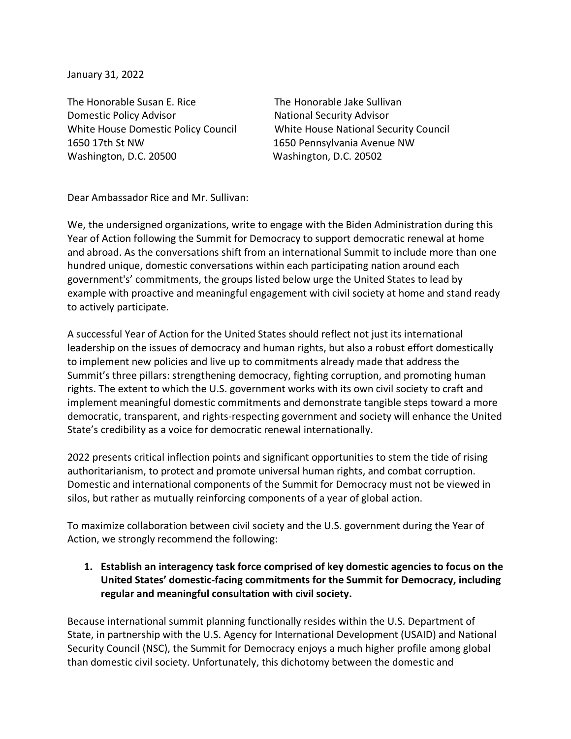January 31, 2022

The Honorable Susan E. Rice The Honorable Jake Sullivan Domestic Policy Advisor National Security Advisor 1650 17th St NW 1650 Pennsylvania Avenue NW Washington, D.C. 20500 Washington, D.C. 20502

White House Domestic Policy Council White House National Security Council

Dear Ambassador Rice and Mr. Sullivan:

We, the undersigned organizations, write to engage with the Biden Administration during this Year of Action following the Summit for Democracy to support democratic renewal at home and abroad. As the conversations shift from an international Summit to include more than one hundred unique, domestic conversations within each participating nation around each government's' commitments, the groups listed below urge the United States to lead by example with proactive and meaningful engagement with civil society at home and stand ready to actively participate.

A successful Year of Action for the United States should reflect not just its international leadership on the issues of democracy and human rights, but also a robust effort domestically to implement new policies and live up to commitments already made that address the Summit's three pillars: strengthening democracy, fighting corruption, and promoting human rights. The extent to which the U.S. government works with its own civil society to craft and implement meaningful domestic commitments and demonstrate tangible steps toward a more democratic, transparent, and rights-respecting government and society will enhance the United State's credibility as a voice for democratic renewal internationally.

2022 presents critical inflection points and significant opportunities to stem the tide of rising authoritarianism, to protect and promote universal human rights, and combat corruption. Domestic and international components of the Summit for Democracy must not be viewed in silos, but rather as mutually reinforcing components of a year of global action.

To maximize collaboration between civil society and the U.S. government during the Year of Action, we strongly recommend the following:

**1. Establish an interagency task force comprised of key domestic agencies to focus on the United States' domestic-facing commitments for the Summit for Democracy, including regular and meaningful consultation with civil society.** 

Because international summit planning functionally resides within the U.S. Department of State, in partnership with the U.S. Agency for International Development (USAID) and National Security Council (NSC), the Summit for Democracy enjoys a much higher profile among global than domestic civil society. Unfortunately, this dichotomy between the domestic and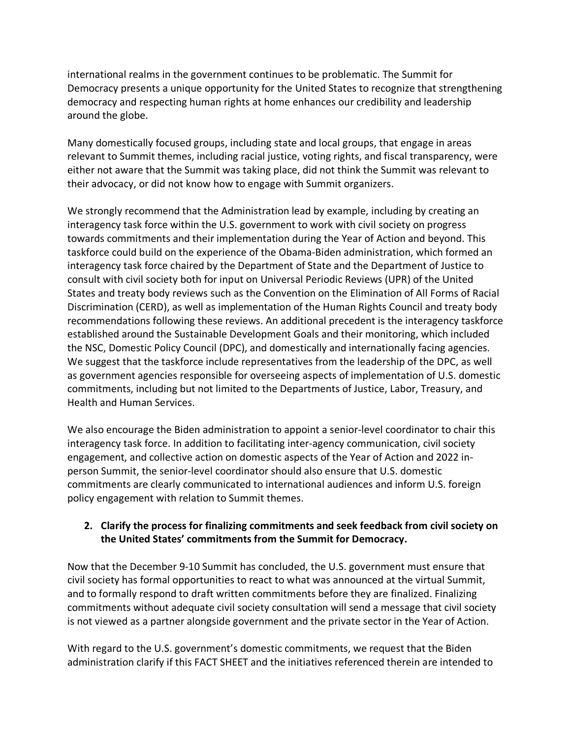international realms in the government continues to be problematic. The Summit for Democracy presents a unique opportunity for the United States to recognize that strengthening democracy and respecting human rights at home enhances our credibility and leadership around the globe.

Many domestically focused groups, including state and local groups, that engage in areas relevant to Summit themes, including racial justice, voting rights, and fiscal transparency, were either not aware that the Summit was taking place, did not think the Summit was relevant to their advocacy, or did not know how to engage with Summit organizers.

We strongly recommend that the Administration lead by example, including by creating an interagency task force within the U.S. government to work with civil society on progress towards commitments and their implementation during the Year of Action and beyond. This taskforce could build on the experience of the Obama-Biden administration, which formed an interagency task force chaired by the Department of State and the Department of Justice to consult with civil society both for input on Universal Periodic Reviews (UPR) of the United States and treaty body reviews such as the Convention on the Elimination of All Forms of Racial Discrimination (CERD), as well as implementation of the Human Rights Council and treaty body recommendations following these reviews. An additional precedent is the interagency taskforce established around the Sustainable Development Goals and their monitoring, which included the NSC, Domestic Policy Council (DPC), and domestically and internationally facing agencies. We suggest that the taskforce include representatives from the leadership of the DPC, as well as government agencies responsible for overseeing aspects of implementation of U.S. domestic commitments, including but not limited to the Departments of Justice, Labor, Treasury, and Health and Human Services.

We also encourage the Biden administration to appoint a senior-level coordinator to chair this interagency task force. In addition to facilitating inter-agency communication, civil society engagement, and collective action on domestic aspects of the Year of Action and 2022 inperson Summit, the senior-level coordinator should also ensure that U.S. domestic commitments are clearly communicated to international audiences and inform U.S. foreign policy engagement with relation to Summit themes.

## **2. Clarify the process for finalizing commitments and seek feedback from civil society on the United States' commitments from the Summit for Democracy.**

Now that the December 9-10 Summit has concluded, the U.S. government must ensure that civil society has formal opportunities to react to what was announced at the virtual Summit, and to formally respond to draft written commitments before they are finalized. Finalizing commitments without adequate civil society consultation will send a message that civil society is not viewed as a partner alongside government and the private sector in the Year of Action.

With regard to the U.S. government's domestic commitments, we request that the Biden administration clarify if this FACT SHEET and the initiatives referenced therein are intended to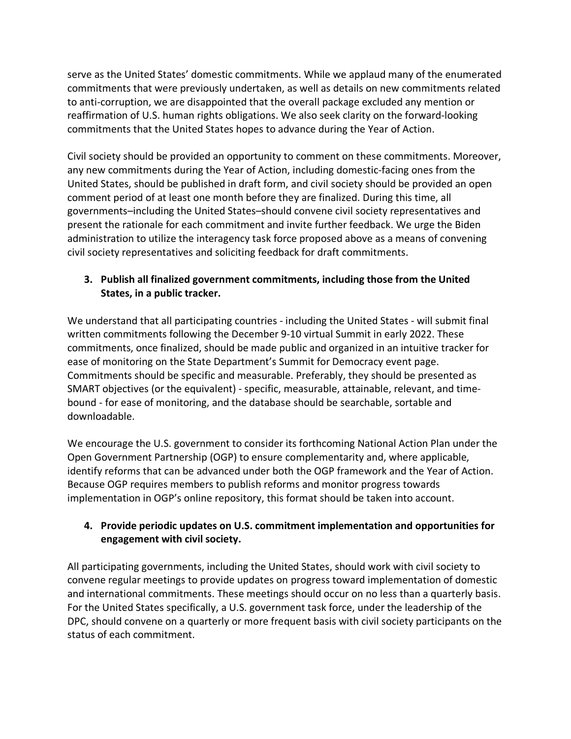serve as the United States' domestic commitments. While we applaud many of the enumerated commitments that were previously undertaken, as well as details on new commitments related to anti-corruption, we are disappointed that the overall package excluded any mention or reaffirmation of U.S. human rights obligations. We also seek clarity on the forward-looking commitments that the United States hopes to advance during the Year of Action.

Civil society should be provided an opportunity to comment on these commitments. Moreover, any new commitments during the Year of Action, including domestic-facing ones from the United States, should be published in draft form, and civil society should be provided an open comment period of at least one month before they are finalized. During this time, all governments–including the United States–should convene civil society representatives and present the rationale for each commitment and invite further feedback. We urge the Biden administration to utilize the interagency task force proposed above as a means of convening civil society representatives and soliciting feedback for draft commitments.

## **3. Publish all finalized government commitments, including those from the United States, in a public tracker.**

We understand that all participating countries - including the United States - will submit final written commitments following the December 9-10 virtual Summit in early 2022. These commitments, once finalized, should be made public and organized in an intuitive tracker for ease of monitoring on the State Department's Summit for Democracy event page. Commitments should be specific and measurable. Preferably, they should be presented as SMART objectives (or the equivalent) - specific, measurable, attainable, relevant, and timebound - for ease of monitoring, and the database should be searchable, sortable and downloadable.

We encourage the U.S. government to consider its forthcoming National Action Plan under the Open Government Partnership (OGP) to ensure complementarity and, where applicable, identify reforms that can be advanced under both the OGP framework and the Year of Action. Because OGP requires members to publish reforms and monitor progress towards implementation in OGP's online repository, this format should be taken into account.

## **4. Provide periodic updates on U.S. commitment implementation and opportunities for engagement with civil society.**

All participating governments, including the United States, should work with civil society to convene regular meetings to provide updates on progress toward implementation of domestic and international commitments. These meetings should occur on no less than a quarterly basis. For the United States specifically, a U.S. government task force, under the leadership of the DPC, should convene on a quarterly or more frequent basis with civil society participants on the status of each commitment.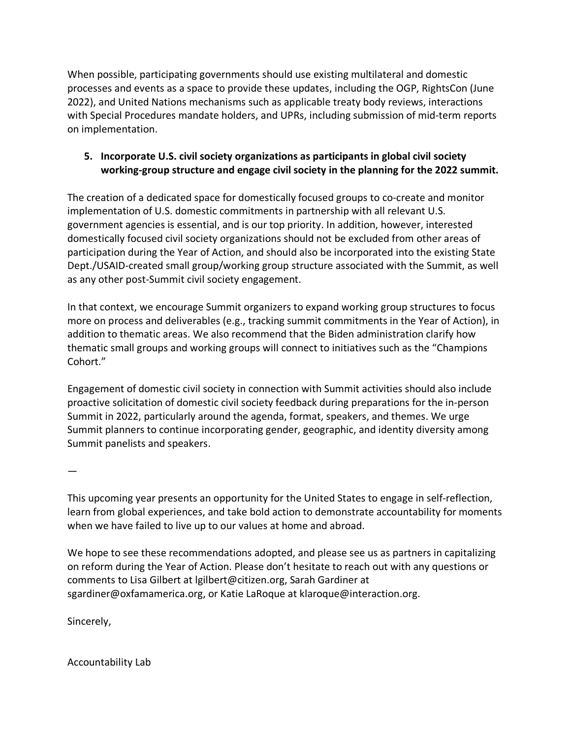When possible, participating governments should use existing multilateral and domestic processes and events as a space to provide these updates, including the OGP, RightsCon (June 2022), and United Nations mechanisms such as applicable treaty body reviews, interactions with Special Procedures mandate holders, and UPRs, including submission of mid-term reports on implementation.

## **5. Incorporate U.S. civil society organizations as participants in global civil society working-group structure and engage civil society in the planning for the 2022 summit.**

The creation of a dedicated space for domestically focused groups to co-create and monitor implementation of U.S. domestic commitments in partnership with all relevant U.S. government agencies is essential, and is our top priority. In addition, however, interested domestically focused civil society organizations should not be excluded from other areas of participation during the Year of Action, and should also be incorporated into the existing State Dept./USAID-created small group/working group structure associated with the Summit, as well as any other post-Summit civil society engagement.

In that context, we encourage Summit organizers to expand working group structures to focus more on process and deliverables (e.g., tracking summit commitments in the Year of Action), in addition to thematic areas. We also recommend that the Biden administration clarify how thematic small groups and working groups will connect to initiatives such as the "Champions Cohort."

Engagement of domestic civil society in connection with Summit activities should also include proactive solicitation of domestic civil society feedback during preparations for the in-person Summit in 2022, particularly around the agenda, format, speakers, and themes. We urge Summit planners to continue incorporating gender, geographic, and identity diversity among Summit panelists and speakers.

—

This upcoming year presents an opportunity for the United States to engage in self-reflection, learn from global experiences, and take bold action to demonstrate accountability for moments when we have failed to live up to our values at home and abroad.

We hope to see these recommendations adopted, and please see us as partners in capitalizing on reform during the Year of Action. Please don't hesitate to reach out with any questions or comments to Lisa Gilbert at lgilbert@citizen.org, Sarah Gardiner at sgardiner@oxfamamerica.org, or Katie LaRoque at klaroque@interaction.org.

Sincerely,

Accountability Lab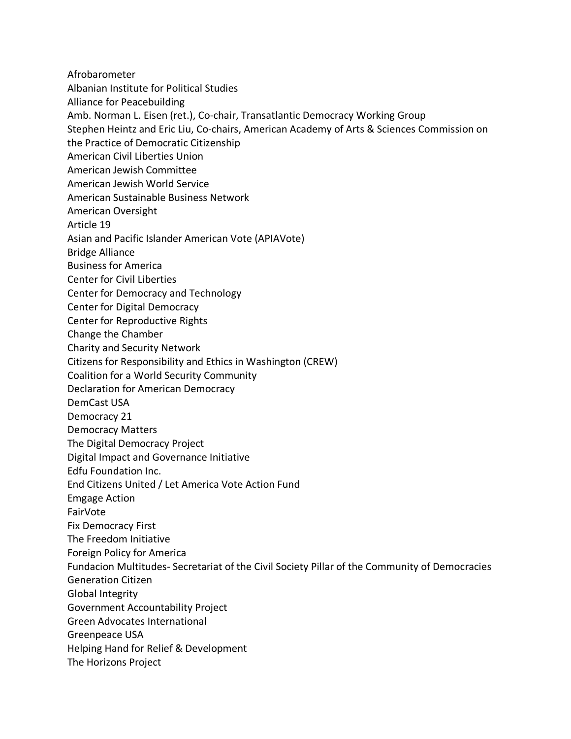Afrobarometer Albanian Institute for Political Studies Alliance for Peacebuilding Amb. Norman L. Eisen (ret.), Co-chair, Transatlantic Democracy Working Group Stephen Heintz and Eric Liu, Co-chairs, American Academy of Arts & Sciences Commission on the Practice of Democratic Citizenship American Civil Liberties Union American Jewish Committee American Jewish World Service American Sustainable Business Network American Oversight Article 19 Asian and Pacific Islander American Vote (APIAVote) Bridge Alliance Business for America Center for Civil Liberties Center for Democracy and Technology Center for Digital Democracy Center for Reproductive Rights Change the Chamber Charity and Security Network Citizens for Responsibility and Ethics in Washington (CREW) Coalition for a World Security Community Declaration for American Democracy DemCast USA Democracy 21 Democracy Matters The Digital Democracy Project Digital Impact and Governance Initiative Edfu Foundation Inc. End Citizens United / Let America Vote Action Fund Emgage Action FairVote Fix Democracy First The Freedom Initiative Foreign Policy for America Fundacion Multitudes- Secretariat of the Civil Society Pillar of the Community of Democracies Generation Citizen Global Integrity Government Accountability Project Green Advocates International Greenpeace USA Helping Hand for Relief & Development The Horizons Project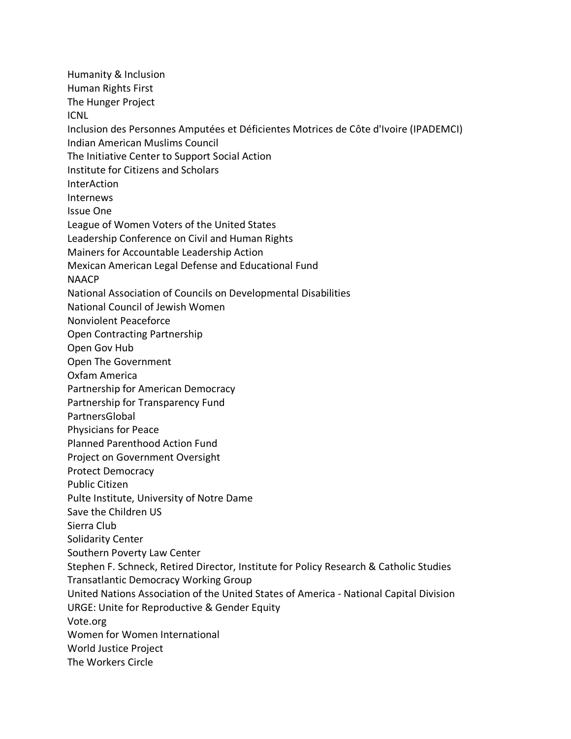Humanity & Inclusion Human Rights First The Hunger Project ICNL Inclusion des Personnes Amputées et Déficientes Motrices de Côte d'Ivoire (IPADEMCI) Indian American Muslims Council The Initiative Center to Support Social Action Institute for Citizens and Scholars InterAction Internews Issue One League of Women Voters of the United States Leadership Conference on Civil and Human Rights Mainers for Accountable Leadership Action Mexican American Legal Defense and Educational Fund NAACP National Association of Councils on Developmental Disabilities National Council of Jewish Women Nonviolent Peaceforce Open Contracting Partnership Open Gov Hub Open The Government Oxfam America Partnership for American Democracy Partnership for Transparency Fund PartnersGlobal Physicians for Peace Planned Parenthood Action Fund Project on Government Oversight Protect Democracy Public Citizen Pulte Institute, University of Notre Dame Save the Children US Sierra Club Solidarity Center Southern Poverty Law Center Stephen F. Schneck, Retired Director, Institute for Policy Research & Catholic Studies Transatlantic Democracy Working Group United Nations Association of the United States of America - National Capital Division URGE: Unite for Reproductive & Gender Equity Vote.org Women for Women International World Justice Project The Workers Circle